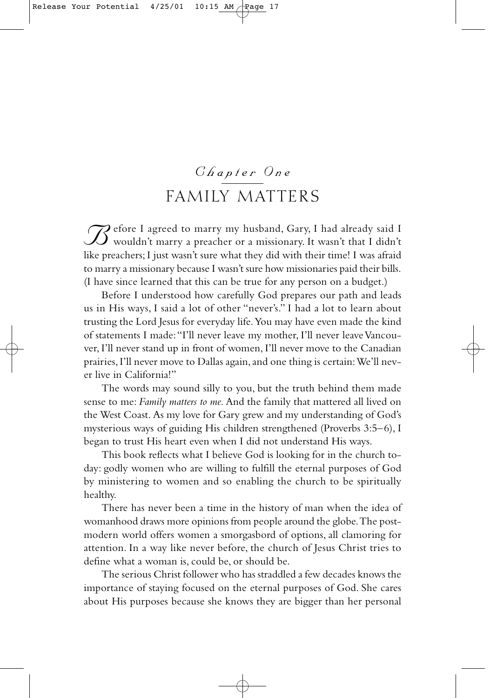# *Chapter One* FAMILY MATTERS

**B**efore I agreed to marry my husband, Gary, I had already said I<br>wouldn't marry a preacher or a missionary. It wasn't that I didn't like preachers; I just wasn't sure what they did with their time! I was afraid to marry a missionary because I wasn't sure how missionaries paid their bills. (I have since learned that this can be true for any person on a budget.)

Before I understood how carefully God prepares our path and leads us in His ways, I said a lot of other "never's." I had a lot to learn about trusting the Lord Jesus for everyday life.You may have even made the kind of statements I made:"I'll never leave my mother, I'll never leave Vancouver, I'll never stand up in front of women, I'll never move to the Canadian prairies, I'll never move to Dallas again, and one thing is certain: We'll never live in California!"

The words may sound silly to you, but the truth behind them made sense to me: *Family matters to me.* And the family that mattered all lived on the West Coast. As my love for Gary grew and my understanding of God's mysterious ways of guiding His children strengthened (Proverbs 3:5–6), I began to trust His heart even when I did not understand His ways.

This book reflects what I believe God is looking for in the church today: godly women who are willing to fulfill the eternal purposes of God by ministering to women and so enabling the church to be spiritually healthy.

There has never been a time in the history of man when the idea of womanhood draws more opinions from people around the globe.The postmodern world offers women a smorgasbord of options, all clamoring for attention. In a way like never before, the church of Jesus Christ tries to define what a woman is, could be, or should be.

The serious Christ follower who has straddled a few decades knows the importance of staying focused on the eternal purposes of God. She cares about His purposes because she knows they are bigger than her personal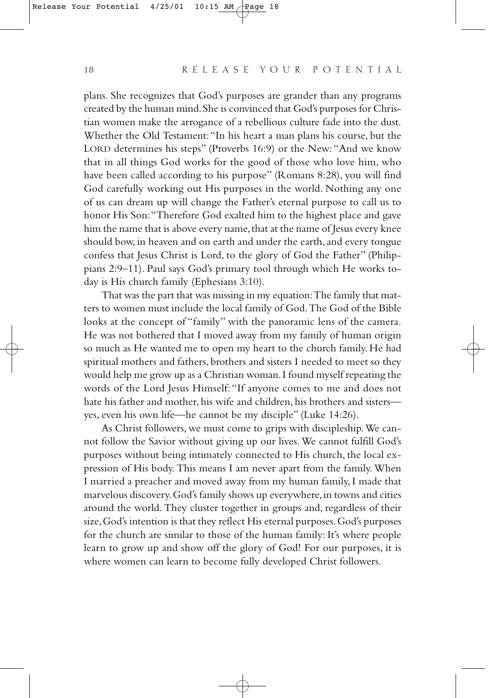plans. She recognizes that God's purposes are grander than any programs created by the human mind.She is convinced that God's purposes for Christian women make the arrogance of a rebellious culture fade into the dust. Whether the Old Testament:"In his heart a man plans his course, but the LORD determines his steps" (Proverbs 16:9) or the New:"And we know that in all things God works for the good of those who love him, who have been called according to his purpose" (Romans 8:28), you will find God carefully working out His purposes in the world. Nothing any one of us can dream up will change the Father's eternal purpose to call us to honor His Son:"Therefore God exalted him to the highest place and gave him the name that is above every name, that at the name of Jesus every knee should bow, in heaven and on earth and under the earth, and every tongue confess that Jesus Christ is Lord, to the glory of God the Father" (Philippians 2:9–11). Paul says God's primary tool through which He works today is His church family (Ephesians 3:10).

That was the part that was missing in my equation:The family that matters to women must include the local family of God.The God of the Bible looks at the concept of "family" with the panoramic lens of the camera. He was not bothered that I moved away from my family of human origin so much as He wanted me to open my heart to the church family. He had spiritual mothers and fathers, brothers and sisters I needed to meet so they would help me grow up as a Christian woman.I found myself repeating the words of the Lord Jesus Himself:"If anyone comes to me and does not hate his father and mother, his wife and children, his brothers and sisters yes, even his own life—he cannot be my disciple" (Luke 14:26).

As Christ followers, we must come to grips with discipleship.We cannot follow the Savior without giving up our lives. We cannot fulfill God's purposes without being intimately connected to His church, the local expression of His body. This means I am never apart from the family. When I married a preacher and moved away from my human family, I made that marvelous discovery.God's family shows up everywhere,in towns and cities around the world. They cluster together in groups and, regardless of their size, God's intention is that they reflect His eternal purposes. God's purposes for the church are similar to those of the human family: It's where people learn to grow up and show off the glory of God! For our purposes, it is where women can learn to become fully developed Christ followers.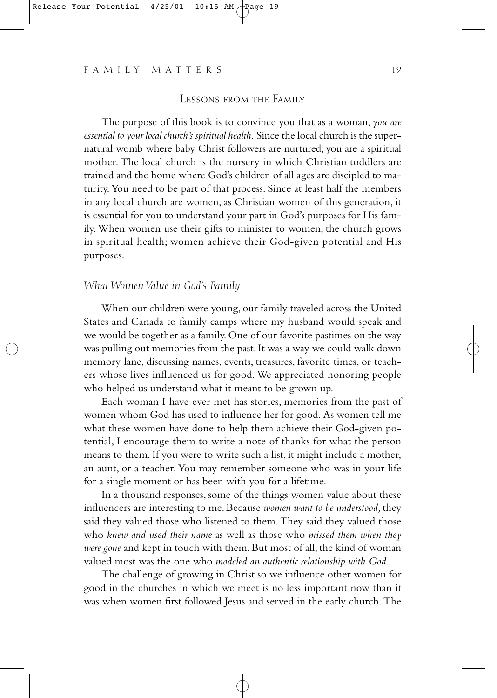#### Lessons from the Family

The purpose of this book is to convince you that as a woman, *you are essential to your local church's spiritual health.* Since the local church is the supernatural womb where baby Christ followers are nurtured, you are a spiritual mother. The local church is the nursery in which Christian toddlers are trained and the home where God's children of all ages are discipled to maturity. You need to be part of that process. Since at least half the members in any local church are women, as Christian women of this generation, it is essential for you to understand your part in God's purposes for His family. When women use their gifts to minister to women, the church grows in spiritual health; women achieve their God-given potential and His purposes.

# *What Women Value in God's Family*

When our children were young, our family traveled across the United States and Canada to family camps where my husband would speak and we would be together as a family. One of our favorite pastimes on the way was pulling out memories from the past. It was a way we could walk down memory lane, discussing names, events, treasures, favorite times, or teachers whose lives influenced us for good. We appreciated honoring people who helped us understand what it meant to be grown up.

Each woman I have ever met has stories, memories from the past of women whom God has used to influence her for good. As women tell me what these women have done to help them achieve their God-given potential, I encourage them to write a note of thanks for what the person means to them. If you were to write such a list, it might include a mother, an aunt, or a teacher. You may remember someone who was in your life for a single moment or has been with you for a lifetime.

In a thousand responses, some of the things women value about these influencers are interesting to me. Because *women want to be understood,* they said they valued those who listened to them. They said they valued those who *knew and used their name* as well as those who *missed them when they were gone* and kept in touch with them. But most of all, the kind of woman valued most was the one who *modeled an authentic relationship with God.*

The challenge of growing in Christ so we influence other women for good in the churches in which we meet is no less important now than it was when women first followed Jesus and served in the early church. The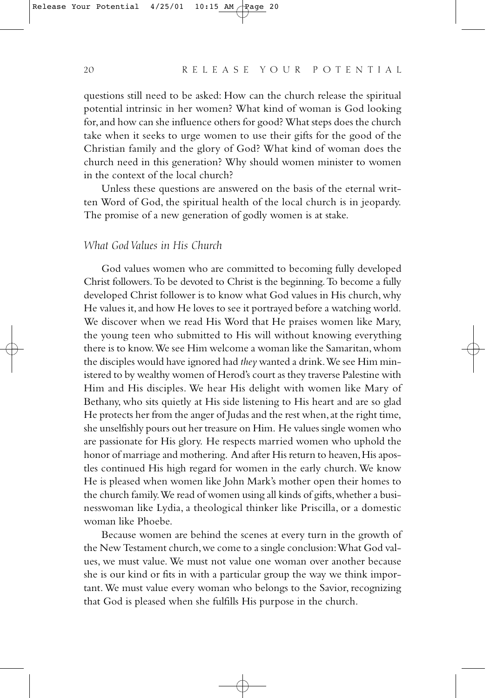questions still need to be asked: How can the church release the spiritual potential intrinsic in her women? What kind of woman is God looking for,and how can she influence others for good? What steps does the church take when it seeks to urge women to use their gifts for the good of the Christian family and the glory of God? What kind of woman does the church need in this generation? Why should women minister to women in the context of the local church?

Unless these questions are answered on the basis of the eternal written Word of God, the spiritual health of the local church is in jeopardy. The promise of a new generation of godly women is at stake.

#### *What God Values in His Church*

God values women who are committed to becoming fully developed Christ followers.To be devoted to Christ is the beginning.To become a fully developed Christ follower is to know what God values in His church, why He values it, and how He loves to see it portrayed before a watching world. We discover when we read His Word that He praises women like Mary, the young teen who submitted to His will without knowing everything there is to know. We see Him welcome a woman like the Samaritan, whom the disciples would have ignored had *they* wanted a drink.We see Him ministered to by wealthy women of Herod's court as they traverse Palestine with Him and His disciples. We hear His delight with women like Mary of Bethany, who sits quietly at His side listening to His heart and are so glad He protects her from the anger of Judas and the rest when, at the right time, she unselfishly pours out her treasure on Him. He values single women who are passionate for His glory. He respects married women who uphold the honor of marriage and mothering. And after His return to heaven, His apostles continued His high regard for women in the early church. We know He is pleased when women like John Mark's mother open their homes to the church family. We read of women using all kinds of gifts, whether a businesswoman like Lydia, a theological thinker like Priscilla, or a domestic woman like Phoebe.

Because women are behind the scenes at every turn in the growth of the New Testament church,we come to a single conclusion:What God values, we must value. We must not value one woman over another because she is our kind or fits in with a particular group the way we think important. We must value every woman who belongs to the Savior, recognizing that God is pleased when she fulfills His purpose in the church.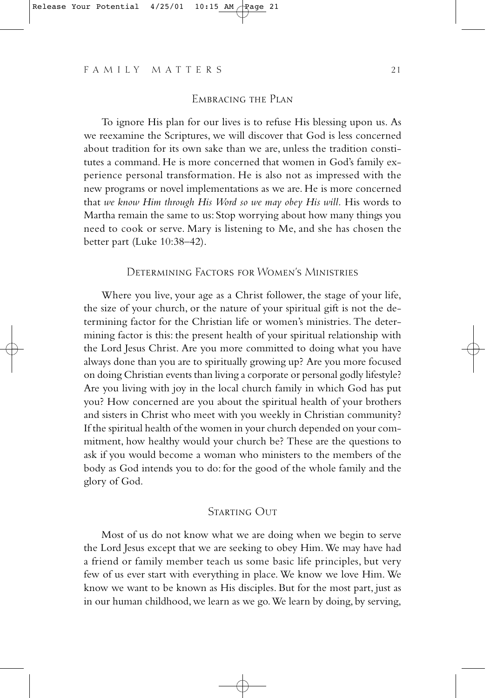#### EMBRACING THE PLAN

To ignore His plan for our lives is to refuse His blessing upon us. As we reexamine the Scriptures, we will discover that God is less concerned about tradition for its own sake than we are, unless the tradition constitutes a command. He is more concerned that women in God's family experience personal transformation. He is also not as impressed with the new programs or novel implementations as we are. He is more concerned that *we know Him through His Word so we may obey His will.* His words to Martha remain the same to us: Stop worrying about how many things you need to cook or serve. Mary is listening to Me, and she has chosen the better part (Luke 10:38–42).

## Determining Factors for Women's Ministries

Where you live, your age as a Christ follower, the stage of your life, the size of your church, or the nature of your spiritual gift is not the determining factor for the Christian life or women's ministries. The determining factor is this: the present health of your spiritual relationship with the Lord Jesus Christ. Are you more committed to doing what you have always done than you are to spiritually growing up? Are you more focused on doing Christian events than living a corporate or personal godly lifestyle? Are you living with joy in the local church family in which God has put you? How concerned are you about the spiritual health of your brothers and sisters in Christ who meet with you weekly in Christian community? If the spiritual health of the women in your church depended on your commitment, how healthy would your church be? These are the questions to ask if you would become a woman who ministers to the members of the body as God intends you to do: for the good of the whole family and the glory of God.

## STARTING OUT

Most of us do not know what we are doing when we begin to serve the Lord Jesus except that we are seeking to obey Him. We may have had a friend or family member teach us some basic life principles, but very few of us ever start with everything in place. We know we love Him. We know we want to be known as His disciples. But for the most part, just as in our human childhood, we learn as we go.We learn by doing, by serving,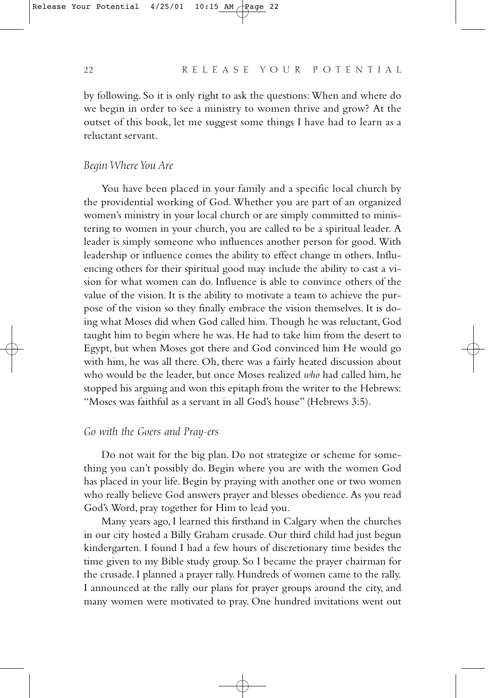by following. So it is only right to ask the questions: When and where do we begin in order to see a ministry to women thrive and grow? At the outset of this book, let me suggest some things I have had to learn as a reluctant servant.

#### *Begin Where You Are*

You have been placed in your family and a specific local church by the providential working of God. Whether you are part of an organized women's ministry in your local church or are simply committed to ministering to women in your church, you are called to be a spiritual leader. A leader is simply someone who influences another person for good. With leadership or influence comes the ability to effect change in others. Influencing others for their spiritual good may include the ability to cast a vision for what women can do. Influence is able to convince others of the value of the vision. It is the ability to motivate a team to achieve the purpose of the vision so they finally embrace the vision themselves. It is doing what Moses did when God called him. Though he was reluctant, God taught him to begin where he was. He had to take him from the desert to Egypt, but when Moses got there and God convinced him He would go with him, he was all there. Oh, there was a fairly heated discussion about who would be the leader, but once Moses realized *who* had called him, he stopped his arguing and won this epitaph from the writer to the Hebrews: "Moses was faithful as a servant in all God's house" (Hebrews 3:5).

#### *Go with the Goers and Pray-ers*

Do not wait for the big plan. Do not strategize or scheme for something you can't possibly do. Begin where you are with the women God has placed in your life. Begin by praying with another one or two women who really believe God answers prayer and blesses obedience. As you read God's Word, pray together for Him to lead you.

Many years ago, I learned this firsthand in Calgary when the churches in our city hosted a Billy Graham crusade. Our third child had just begun kindergarten. I found I had a few hours of discretionary time besides the time given to my Bible study group. So I became the prayer chairman for the crusade. I planned a prayer rally. Hundreds of women came to the rally. I announced at the rally our plans for prayer groups around the city, and many women were motivated to pray. One hundred invitations went out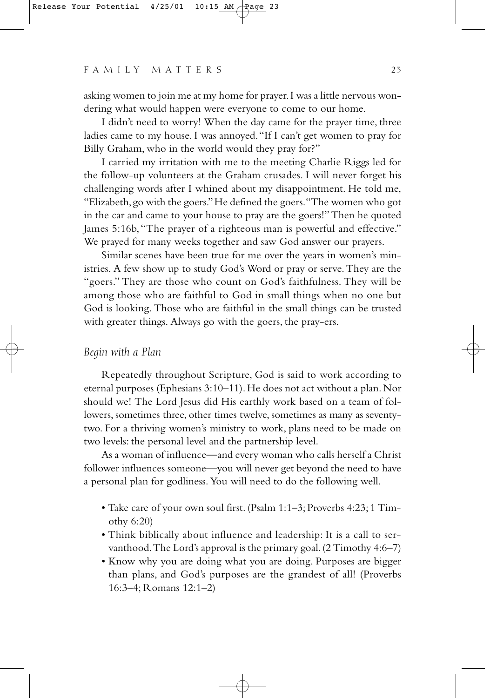asking women to join me at my home for prayer.I was a little nervous wondering what would happen were everyone to come to our home.

I didn't need to worry! When the day came for the prayer time, three ladies came to my house. I was annoyed."If I can't get women to pray for Billy Graham, who in the world would they pray for?"

I carried my irritation with me to the meeting Charlie Riggs led for the follow-up volunteers at the Graham crusades. I will never forget his challenging words after I whined about my disappointment. He told me, "Elizabeth,go with the goers."He defined the goers."The women who got in the car and came to your house to pray are the goers!" Then he quoted James 5:16b, "The prayer of a righteous man is powerful and effective." We prayed for many weeks together and saw God answer our prayers.

Similar scenes have been true for me over the years in women's ministries. A few show up to study God's Word or pray or serve. They are the "goers." They are those who count on God's faithfulness. They will be among those who are faithful to God in small things when no one but God is looking. Those who are faithful in the small things can be trusted with greater things. Always go with the goers, the pray-ers.

#### *Begin with a Plan*

Repeatedly throughout Scripture, God is said to work according to eternal purposes (Ephesians 3:10-11). He does not act without a plan. Nor should we! The Lord Jesus did His earthly work based on a team of followers, sometimes three, other times twelve, sometimes as many as seventytwo. For a thriving women's ministry to work, plans need to be made on two levels: the personal level and the partnership level.

As a woman of influence—and every woman who calls herself a Christ follower influences someone—you will never get beyond the need to have a personal plan for godliness. You will need to do the following well.

- Take care of your own soul first. (Psalm 1:1–3; Proverbs 4:23; 1 Timothy 6:20)
- Think biblically about influence and leadership: It is a call to servanthood.The Lord's approval is the primary goal.(2 Timothy 4:6–7)
- Know why you are doing what you are doing. Purposes are bigger than plans, and God's purposes are the grandest of all! (Proverbs 16:3–4; Romans 12:1–2)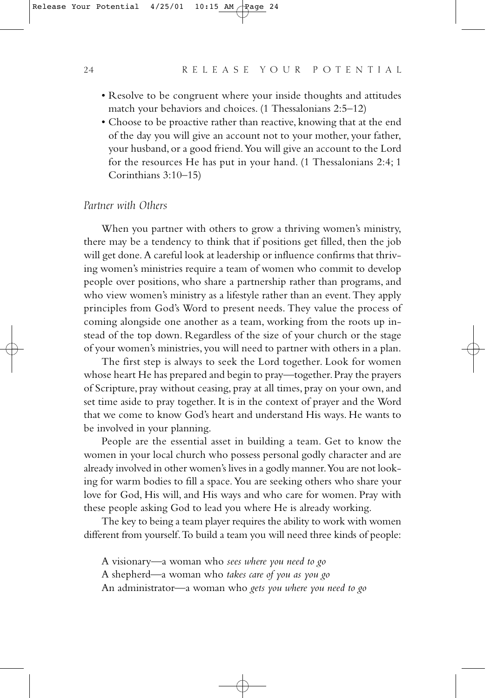- Resolve to be congruent where your inside thoughts and attitudes match your behaviors and choices. (1 Thessalonians 2:5–12)
- Choose to be proactive rather than reactive, knowing that at the end of the day you will give an account not to your mother, your father, your husband, or a good friend.You will give an account to the Lord for the resources He has put in your hand. (1 Thessalonians 2:4; 1 Corinthians 3:10–15)

#### *Partner with Others*

When you partner with others to grow a thriving women's ministry, there may be a tendency to think that if positions get filled, then the job will get done. A careful look at leadership or influence confirms that thriving women's ministries require a team of women who commit to develop people over positions, who share a partnership rather than programs, and who view women's ministry as a lifestyle rather than an event. They apply principles from God's Word to present needs. They value the process of coming alongside one another as a team, working from the roots up instead of the top down. Regardless of the size of your church or the stage of your women's ministries, you will need to partner with others in a plan.

The first step is always to seek the Lord together. Look for women whose heart He has prepared and begin to pray—together. Pray the prayers of Scripture, pray without ceasing, pray at all times, pray on your own, and set time aside to pray together. It is in the context of prayer and the Word that we come to know God's heart and understand His ways. He wants to be involved in your planning.

People are the essential asset in building a team. Get to know the women in your local church who possess personal godly character and are already involved in other women's lives in a godly manner.You are not looking for warm bodies to fill a space. You are seeking others who share your love for God, His will, and His ways and who care for women. Pray with these people asking God to lead you where He is already working.

The key to being a team player requires the ability to work with women different from yourself.To build a team you will need three kinds of people:

A visionary—a woman who *sees where you need to go* A shepherd—a woman who *takes care of you as you go* An administrator—a woman who *gets you where you need to go*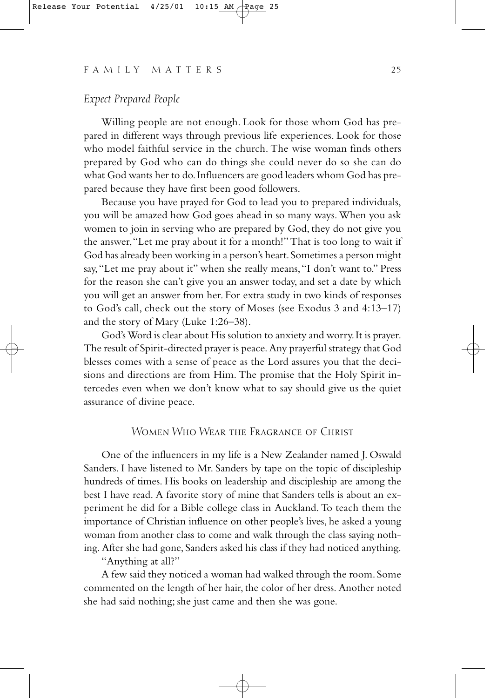### *Expect Prepared People*

Willing people are not enough. Look for those whom God has prepared in different ways through previous life experiences. Look for those who model faithful service in the church. The wise woman finds others prepared by God who can do things she could never do so she can do what God wants her to do.Influencers are good leaders whom God has prepared because they have first been good followers.

Because you have prayed for God to lead you to prepared individuals, you will be amazed how God goes ahead in so many ways. When you ask women to join in serving who are prepared by God, they do not give you the answer,"Let me pray about it for a month!" That is too long to wait if God has already been working in a person's heart.Sometimes a person might say,"Let me pray about it" when she really means,"I don't want to." Press for the reason she can't give you an answer today, and set a date by which you will get an answer from her. For extra study in two kinds of responses to God's call, check out the story of Moses (see Exodus 3 and 4:13–17) and the story of Mary (Luke 1:26–38).

God's Word is clear about His solution to anxiety and worry.It is prayer. The result of Spirit-directed prayer is peace. Any prayerful strategy that God blesses comes with a sense of peace as the Lord assures you that the decisions and directions are from Him. The promise that the Holy Spirit intercedes even when we don't know what to say should give us the quiet assurance of divine peace.

# Women Who Wear the Fragrance of Christ

One of the influencers in my life is a New Zealander named J. Oswald Sanders. I have listened to Mr. Sanders by tape on the topic of discipleship hundreds of times. His books on leadership and discipleship are among the best I have read. A favorite story of mine that Sanders tells is about an experiment he did for a Bible college class in Auckland. To teach them the importance of Christian influence on other people's lives, he asked a young woman from another class to come and walk through the class saying nothing. After she had gone, Sanders asked his class if they had noticed anything.

"Anything at all?"

A few said they noticed a woman had walked through the room.Some commented on the length of her hair, the color of her dress. Another noted she had said nothing; she just came and then she was gone.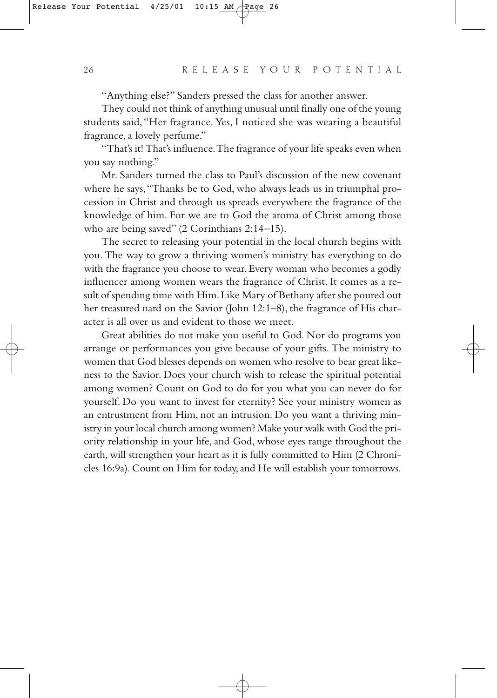"Anything else?" Sanders pressed the class for another answer.

They could not think of anything unusual until finally one of the young students said,"Her fragrance. Yes, I noticed she was wearing a beautiful fragrance, a lovely perfume."

"That's it! That's influence.The fragrance of your life speaks even when you say nothing."

Mr. Sanders turned the class to Paul's discussion of the new covenant where he says,"Thanks be to God, who always leads us in triumphal procession in Christ and through us spreads everywhere the fragrance of the knowledge of him. For we are to God the aroma of Christ among those who are being saved" (2 Corinthians 2:14–15).

The secret to releasing your potential in the local church begins with you. The way to grow a thriving women's ministry has everything to do with the fragrance you choose to wear. Every woman who becomes a godly influencer among women wears the fragrance of Christ. It comes as a result of spending time with Him.Like Mary of Bethany after she poured out her treasured nard on the Savior (John 12:1–8), the fragrance of His character is all over us and evident to those we meet.

Great abilities do not make you useful to God. Nor do programs you arrange or performances you give because of your gifts. The ministry to women that God blesses depends on women who resolve to bear great likeness to the Savior. Does your church wish to release the spiritual potential among women? Count on God to do for you what you can never do for yourself. Do you want to invest for eternity? See your ministry women as an entrustment from Him, not an intrusion. Do you want a thriving ministry in your local church among women? Make your walk with God the priority relationship in your life, and God, whose eyes range throughout the earth, will strengthen your heart as it is fully committed to Him (2 Chronicles 16:9a). Count on Him for today, and He will establish your tomorrows.